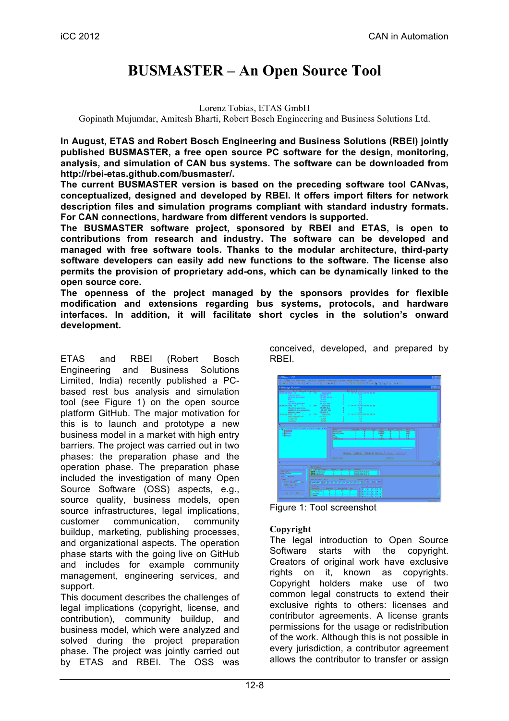# **BUSMASTER – An Open Source Tool**

#### Lorenz Tobias, ETAS GmbH

Gopinath Mujumdar, Amitesh Bharti, Robert Bosch Engineering and Business Solutions Ltd.

**In August, ETAS and Robert Bosch Engineering and Business Solutions (RBEI) jointly published BUSMASTER, a free open source PC software for the design, monitoring, analysis, and simulation of CAN bus systems. The software can be downloaded from http://rbei-etas.github.com/busmaster/.**

**The current BUSMASTER version is based on the preceding software tool CANvas, conceptualized, designed and developed by RBEI. It offers import filters for network description files and simulation programs compliant with standard industry formats. For CAN connections, hardware from different vendors is supported.**

**The BUSMASTER software project, sponsored by RBEI and ETAS, is open to contributions from research and industry. The software can be developed and managed with free software tools. Thanks to the modular architecture, third-party software developers can easily add new functions to the software. The license also permits the provision of proprietary add-ons, which can be dynamically linked to the open source core.**

**The openness of the project managed by the sponsors provides for flexible modification and extensions regarding bus systems, protocols, and hardware interfaces. In addition, it will facilitate short cycles in the solution's onward development.**

ETAS and RBEI (Robert Bosch Engineering and Business Solutions Limited, India) recently published a PCbased rest bus analysis and simulation tool (see Figure 1) on the open source platform GitHub. The major motivation for this is to launch and prototype a new business model in a market with high entry barriers. The project was carried out in two phases: the preparation phase and the operation phase. The preparation phase included the investigation of many Open Source Software (OSS) aspects, e.g., source quality, business models, open source infrastructures, legal implications, customer communication, community buildup, marketing, publishing processes, and organizational aspects. The operation phase starts with the going live on GitHub and includes for example community management, engineering services, and support.

This document describes the challenges of legal implications (copyright, license, and contribution), community buildup, and business model, which were analyzed and solved during the project preparation phase. The project was jointly carried out by ETAS and RBEI. The OSS was

conceived, developed, and prepared by RBEI.

| CANvas: USB                                                                                                                                                                                                                                                                                                                                          | File Configure Log Tx Message Signal Watch, App Filter User Program Functions Option Display Window: Help<br><b>西藤田 3 → 西南市市市西の西北市中でトットを開催開催に2006年11月1日 西南市 日本</b>                                                                                                                                                                                                       |  |
|------------------------------------------------------------------------------------------------------------------------------------------------------------------------------------------------------------------------------------------------------------------------------------------------------------------------------------------------------|--------------------------------------------------------------------------------------------------------------------------------------------------------------------------------------------------------------------------------------------------------------------------------------------------------------------------------------------------------------------------|--|
| Message Window                                                                                                                                                                                                                                                                                                                                       |                                                                                                                                                                                                                                                                                                                                                                          |  |
| Taxe Tarlie Chessel Type Resson<br>1990-19900 Tx 2 4 19 1<br>exhere Crean<br>extinct presence<br><b>KOL</b><br><b>Tanbuta</b><br>cut callets alteration.<br>13:53:43:4965 72 1 2 723 (Intoke)<br>throttle position<br>and fold als immune<br>and/Len/L. Yessp<br>18:50:47:8200 TW<br><b>Ador: Linkbacket ups</b><br>an alshah.<br><b>Sand Silvie</b> | <b>OLC Data Briefs)</b><br><b>I COURSE CHARGE</b><br>44,000 C<br>ari.<br>13,000 KK/Mr<br>f en<br>15,000<br>m<br>56.000.<br>383<br>89.000 bas<br>w.<br>8 00:00:00 00 02:00:20 25<br>-29.820 deg<br>241<br>SCT.<br>61.000 him<br>20.000 C<br>m<br>8-100-39-10-00-00-00-02-90<br>is 798: [Diegted]<br>150,000 C<br>421<br>$-0.000$<br>Φĩ<br>1.000<br>15                     |  |
|                                                                                                                                                                                                                                                                                                                                                      |                                                                                                                                                                                                                                                                                                                                                                          |  |
| <b>B</b> interest<br><b>B</b> Friday<br><b>La</b> licini                                                                                                                                                                                                                                                                                             | <b>Advant lime</b><br>unional.<br>15.00<br>$\alpha$<br>exhaust passure<br>$\overline{17}$<br>10.00<br>undgred<br>4.00<br>M.<br>ĥм<br>6m<br><b>Sandyfa</b><br>24<br>$\mathbf{r}$<br>e<br><b>Political American</b><br>8.03<br>NewSignia   Edition:   Detection   NewSignia   Edition:   Colorinate<br><b>Signal Description</b><br><b>GratVita</b>                        |  |
|                                                                                                                                                                                                                                                                                                                                                      |                                                                                                                                                                                                                                                                                                                                                                          |  |
| <b>Mock Ovtalc</b><br><b>Nation Collins</b><br><b>Tree: IT Monsher</b><br>Trigger<br>57. On line Internal (100 month<br>Diffusion for the Company<br><b>P</b> Hillman                                                                                                                                                                                | Tablessage List<br>F Herope D/Sara<br>Davel  <br><b>Tips</b><br><b>DEC</b><br>Data Syles<br><b>District Industry</b><br>0000 0037 0026 45<br>×<br>٠<br><b>DESTORANT</b><br>000008000800202<br>Empires the first part of the company of the part of the first of the Company of<br><b>Signal Details:</b><br>7.6.6.4.3.2.1.0<br>RenValue<br>Presiditate Big<br>Signifilme |  |
| AM -<br>Delvis                                                                                                                                                                                                                                                                                                                                       | 0.00110031100330<br>$\overline{a}$<br>111<br>and hopest.<br>16666000011<br>an cluck<br>T<br>$\overline{\mathfrak{o}}$<br>algio di algio delle<br>Ť<br><b>Ignition</b><br>, 100000000000                                                                                                                                                                                  |  |

Figure 1: Tool screenshot

# **Copyright**

The legal introduction to Open Source Software starts with the copyright. Creators of original work have exclusive rights on it, known as copyrights. Copyright holders make use of two common legal constructs to extend their exclusive rights to others: licenses and contributor agreements. A license grants permissions for the usage or redistribution of the work. Although this is not possible in every jurisdiction, a contributor agreement allows the contributor to transfer or assign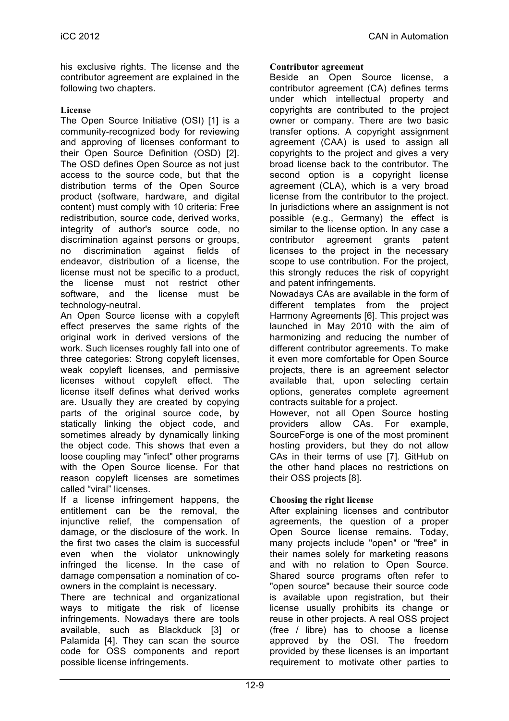his exclusive rights. The license and the contributor agreement are explained in the following two chapters.

# **License**

The Open Source Initiative (OSI) [1] is a community-recognized body for reviewing and approving of licenses conformant to their Open Source Definition (OSD) [2]. The OSD defines Open Source as not just access to the source code, but that the distribution terms of the Open Source product (software, hardware, and digital content) must comply with 10 criteria: Free redistribution, source code, derived works, integrity of author's source code, no discrimination against persons or groups, no discrimination against fields of endeavor, distribution of a license, the license must not be specific to a product, the license must not restrict other software, and the license must be technology-neutral.

An Open Source license with a copyleft effect preserves the same rights of the original work in derived versions of the work. Such licenses roughly fall into one of three categories: Strong copyleft licenses, weak copyleft licenses, and permissive licenses without copyleft effect. The license itself defines what derived works are. Usually they are created by copying parts of the original source code, by statically linking the object code, and sometimes already by dynamically linking the object code. This shows that even a loose coupling may "infect" other programs with the Open Source license. For that reason copyleft licenses are sometimes called "viral" licenses.

If a license infringement happens, the entitlement can be the removal, the injunctive relief, the compensation of damage, or the disclosure of the work. In the first two cases the claim is successful even when the violator unknowingly infringed the license. In the case of damage compensation a nomination of coowners in the complaint is necessary.

There are technical and organizational ways to mitigate the risk of license infringements. Nowadays there are tools available, such as Blackduck [3] or Palamida [4]. They can scan the source code for OSS components and report possible license infringements.

#### **Contributor agreement**

Beside an Open Source license, a contributor agreement (CA) defines terms under which intellectual property and copyrights are contributed to the project owner or company. There are two basic transfer options. A copyright assignment agreement (CAA) is used to assign all copyrights to the project and gives a very broad license back to the contributor. The second option is a copyright license agreement (CLA), which is a very broad license from the contributor to the project. In jurisdictions where an assignment is not possible (e.g., Germany) the effect is similar to the license option. In any case a contributor agreement grants patent licenses to the project in the necessary scope to use contribution. For the project, this strongly reduces the risk of copyright and patent infringements.

Nowadays CAs are available in the form of different templates from the project Harmony Agreements [6]. This project was launched in May 2010 with the aim of harmonizing and reducing the number of different contributor agreements. To make it even more comfortable for Open Source projects, there is an agreement selector available that, upon selecting certain options, generates complete agreement contracts suitable for a project.

However, not all Open Source hosting providers allow CAs. For example, SourceForge is one of the most prominent hosting providers, but they do not allow CAs in their terms of use [7]. GitHub on the other hand places no restrictions on their OSS projects [8].

# **Choosing the right license**

After explaining licenses and contributor agreements, the question of a proper Open Source license remains. Today, many projects include "open" or "free" in their names solely for marketing reasons and with no relation to Open Source. Shared source programs often refer to "open source" because their source code is available upon registration, but their license usually prohibits its change or reuse in other projects. A real OSS project (free / libre) has to choose a license approved by the OSI. The freedom provided by these licenses is an important requirement to motivate other parties to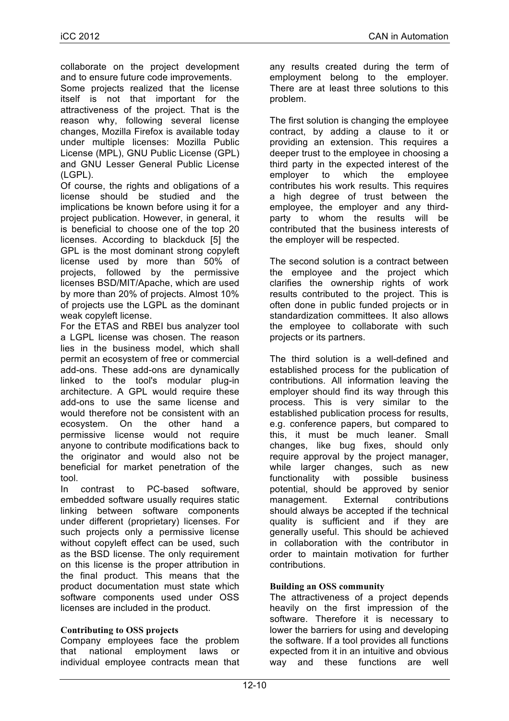collaborate on the project development and to ensure future code improvements.

Some projects realized that the license itself is not that important for the attractiveness of the project. That is the reason why, following several license changes, Mozilla Firefox is available today under multiple licenses: Mozilla Public License (MPL), GNU Public License (GPL) and GNU Lesser General Public License (LGPL).

Of course, the rights and obligations of a license should be studied and the implications be known before using it for a project publication. However, in general, it is beneficial to choose one of the top 20 licenses. According to blackduck [5] the GPL is the most dominant strong copyleft license used by more than 50% of projects, followed by the permissive licenses BSD/MIT/Apache, which are used by more than 20% of projects. Almost 10% of projects use the LGPL as the dominant weak copyleft license.

For the ETAS and RBEI bus analyzer tool a LGPL license was chosen. The reason lies in the business model, which shall permit an ecosystem of free or commercial add-ons. These add-ons are dynamically linked to the tool's modular plug-in architecture. A GPL would require these add-ons to use the same license and would therefore not be consistent with an ecosystem. On the other hand a permissive license would not require anyone to contribute modifications back to the originator and would also not be beneficial for market penetration of the tool.

In contrast to PC-based software, embedded software usually requires static linking between software components under different (proprietary) licenses. For such projects only a permissive license without copyleft effect can be used, such as the BSD license. The only requirement on this license is the proper attribution in the final product. This means that the product documentation must state which software components used under OSS licenses are included in the product.

# **Contributing to OSS projects**

Company employees face the problem that national employment laws or individual employee contracts mean that

any results created during the term of employment belong to the employer. There are at least three solutions to this problem.

The first solution is changing the employee contract, by adding a clause to it or providing an extension. This requires a deeper trust to the employee in choosing a third party in the expected interest of the employer to which the employee contributes his work results. This requires a high degree of trust between the employee, the employer and any thirdparty to whom the results will be contributed that the business interests of the employer will be respected.

The second solution is a contract between the employee and the project which clarifies the ownership rights of work results contributed to the project. This is often done in public funded projects or in standardization committees. It also allows the employee to collaborate with such projects or its partners.

The third solution is a well-defined and established process for the publication of contributions. All information leaving the employer should find its way through this process. This is very similar to the established publication process for results, e.g. conference papers, but compared to this, it must be much leaner. Small changes, like bug fixes, should only require approval by the project manager, while larger changes, such as new functionality with possible business potential, should be approved by senior management. External contributions should always be accepted if the technical quality is sufficient and if they are generally useful. This should be achieved in collaboration with the contributor in order to maintain motivation for further contributions.

# **Building an OSS community**

The attractiveness of a project depends heavily on the first impression of the software. Therefore it is necessary to lower the barriers for using and developing the software. If a tool provides all functions expected from it in an intuitive and obvious way and these functions are well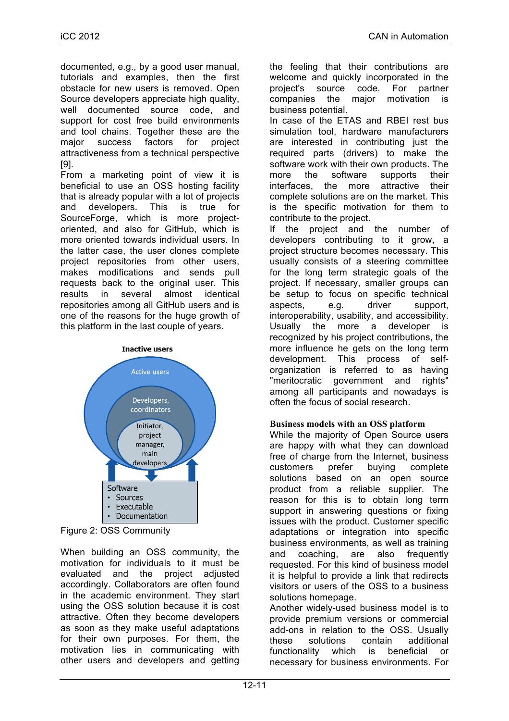documented, e.g., by a good user manual, tutorials and examples, then the first obstacle for new users is removed. Open Source developers appreciate high quality, well documented source code, and support for cost free build environments and tool chains. Together these are the major success factors for project attractiveness from a technical perspective [9].

From a marketing point of view it is beneficial to use an OSS hosting facility that is already popular with a lot of projects and developers. This is true for SourceForge, which is more projectoriented, and also for GitHub, which is more oriented towards individual users. In the latter case, the user clones complete project repositories from other users, makes modifications and sends pull requests back to the original user. This results in several almost identical repositories among all GitHub users and is one of the reasons for the huge growth of this platform in the last couple of years.



Figure 2: OSS Community

When building an OSS community, the motivation for individuals to it must be evaluated and the project adjusted accordingly. Collaborators are often found in the academic environment. They start using the OSS solution because it is cost attractive. Often they become developers as soon as they make useful adaptations for their own purposes. For them, the motivation lies in communicating with other users and developers and getting

the feeling that their contributions are welcome and quickly incorporated in the project's source code. For partner companies the major motivation business potential.

In case of the ETAS and RBEI rest bus simulation tool, hardware manufacturers are interested in contributing just the required parts (drivers) to make the software work with their own products. The more the software supports their interfaces, the more attractive their complete solutions are on the market. This is the specific motivation for them to contribute to the project.

If the project and the number of developers contributing to it grow, a project structure becomes necessary. This usually consists of a steering committee for the long term strategic goals of the project. If necessary, smaller groups can be setup to focus on specific technical aspects, e.g. driver support, interoperability, usability, and accessibility. Usually the more a developer is recognized by his project contributions, the more influence he gets on the long term development. This process of selforganization is referred to as having "meritocratic government and rights" among all participants and nowadays is often the focus of social research.

# **Business models with an OSS platform**

While the majority of Open Source users are happy with what they can download free of charge from the Internet, business customers prefer buying complete solutions based on an open source product from a reliable supplier. The reason for this is to obtain long term support in answering questions or fixing issues with the product. Customer specific adaptations or integration into specific business environments, as well as training and coaching, are also frequently requested. For this kind of business model it is helpful to provide a link that redirects visitors or users of the OSS to a business solutions homepage.

Another widely-used business model is to provide premium versions or commercial add-ons in relation to the OSS. Usually these solutions contain additional functionality which is beneficial or necessary for business environments. For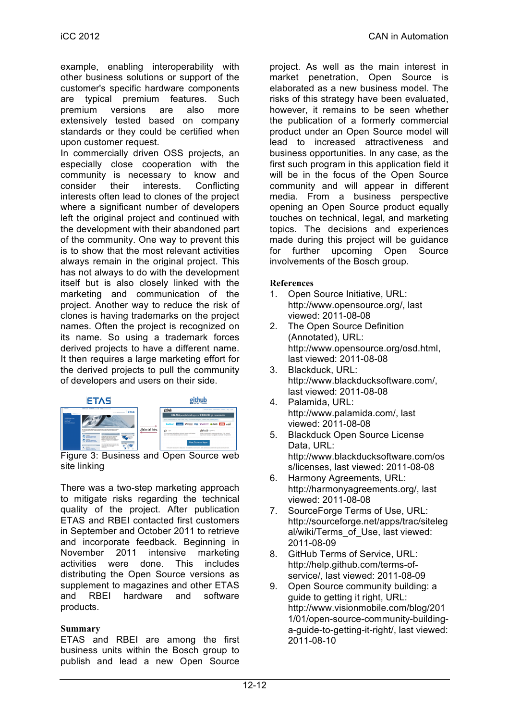example, enabling interoperability with other business solutions or support of the customer's specific hardware components are typical premium features. Such premium versions are also more extensively tested based on company standards or they could be certified when upon customer request.

In commercially driven OSS projects, an especially close cooperation with the community is necessary to know and consider their interests. Conflicting interests often lead to clones of the project where a significant number of developers left the original project and continued with the development with their abandoned part of the community. One way to prevent this is to show that the most relevant activities always remain in the original project. This has not always to do with the development itself but is also closely linked with the marketing and communication of the project. Another way to reduce the risk of clones is having trademarks on the project names. Often the project is recognized on its name. So using a trademark forces derived projects to have a different name. It then requires a large marketing effort for the derived projects to pull the community of developers and users on their side.



Figure 3: Business and Open Source web site linking

There was a two-step marketing approach to mitigate risks regarding the technical quality of the project. After publication ETAS and RBEI contacted first customers in September and October 2011 to retrieve and incorporate feedback. Beginning in November 2011 intensive marketing activities were done. This includes distributing the Open Source versions as supplement to magazines and other ETAS and RBEI hardware and software products.

# **Summary**

ETAS and RBEI are among the first business units within the Bosch group to publish and lead a new Open Source

project. As well as the main interest in market penetration, Open Source is elaborated as a new business model. The risks of this strategy have been evaluated, however, it remains to be seen whether the publication of a formerly commercial product under an Open Source model will lead to increased attractiveness and business opportunities. In any case, as the first such program in this application field it will be in the focus of the Open Source community and will appear in different media. From a business perspective opening an Open Source product equally touches on technical, legal, and marketing topics. The decisions and experiences made during this project will be guidance for further upcoming Open Source involvements of the Bosch group.

#### **References**

- 1. Open Source Initiative, URL: http://www.opensource.org/, last viewed: 2011-08-08
- 2. The Open Source Definition (Annotated), URL: http://www.opensource.org/osd.html, last viewed: 2011-08-08
- 3. Blackduck, URL: http://www.blackducksoftware.com/, last viewed: 2011-08-08
- 4. Palamida, URL: http://www.palamida.com/, last viewed: 2011-08-08
- 5. Blackduck Open Source License Data, URL: http://www.blackducksoftware.com/os s/licenses, last viewed: 2011-08-08
- 6. Harmony Agreements, URL: http://harmonyagreements.org/, last viewed: 2011-08-08
- 7. SourceForge Terms of Use, URL: http://sourceforge.net/apps/trac/siteleg al/wiki/Terms\_of\_Use, last viewed: 2011-08-09
- 8. GitHub Terms of Service, URL: http://help.github.com/terms-ofservice/, last viewed: 2011-08-09
- 9. Open Source community building: a guide to getting it right, URL: http://www.visionmobile.com/blog/201 1/01/open-source-community-buildinga-guide-to-getting-it-right/, last viewed: 2011-08-10